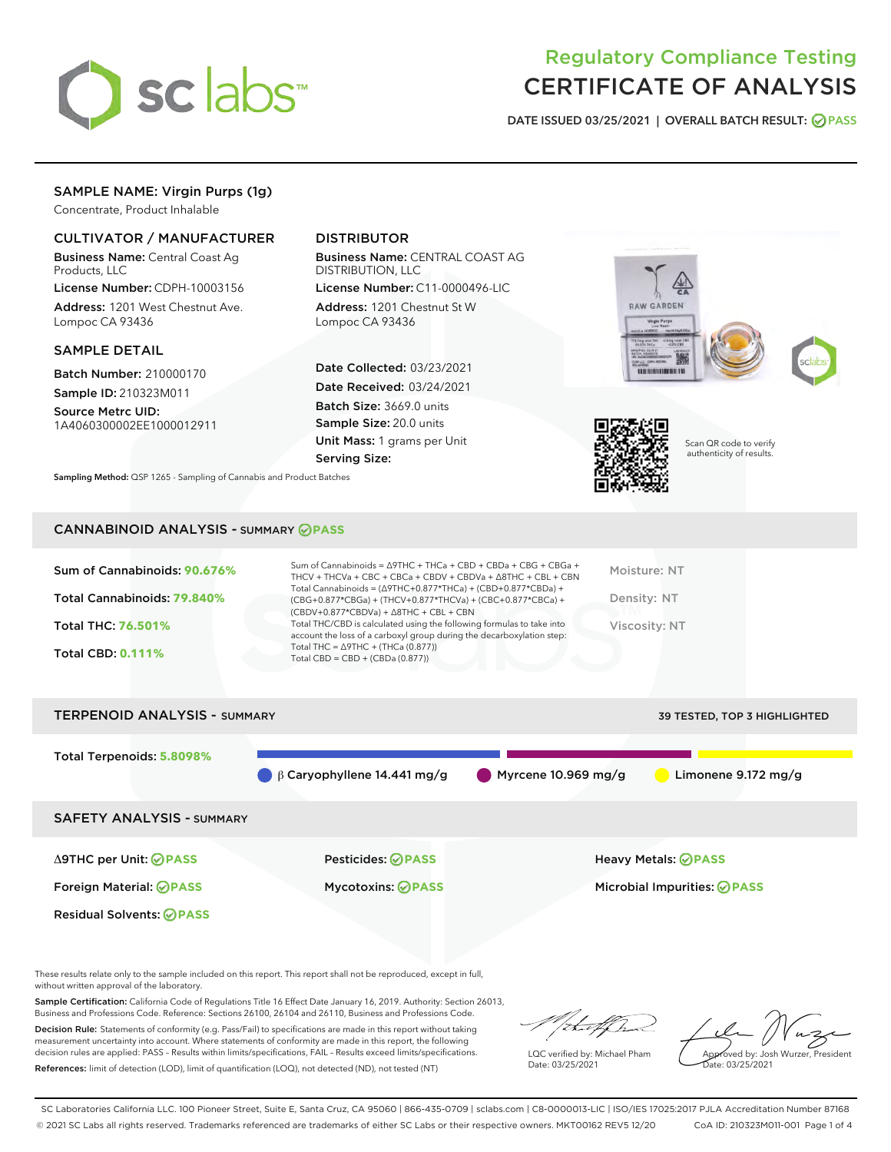

# Regulatory Compliance Testing CERTIFICATE OF ANALYSIS

DATE ISSUED 03/25/2021 | OVERALL BATCH RESULT: @ PASS

# SAMPLE NAME: Virgin Purps (1g)

Concentrate, Product Inhalable

## CULTIVATOR / MANUFACTURER

Business Name: Central Coast Ag Products, LLC

License Number: CDPH-10003156 Address: 1201 West Chestnut Ave. Lompoc CA 93436

#### SAMPLE DETAIL

Batch Number: 210000170 Sample ID: 210323M011

Source Metrc UID: 1A4060300002EE1000012911

## DISTRIBUTOR

Business Name: CENTRAL COAST AG DISTRIBUTION, LLC

License Number: C11-0000496-LIC Address: 1201 Chestnut St W Lompoc CA 93436

Date Collected: 03/23/2021 Date Received: 03/24/2021 Batch Size: 3669.0 units Sample Size: 20.0 units Unit Mass: 1 grams per Unit Serving Size:





Scan QR code to verify authenticity of results.

Sampling Method: QSP 1265 - Sampling of Cannabis and Product Batches

## CANNABINOID ANALYSIS - SUMMARY **PASS**

| Sum of Cannabinoids: 90.676% | Sum of Cannabinoids = $\triangle$ 9THC + THCa + CBD + CBDa + CBG + CBGa +<br>THCV + THCVa + CBC + CBCa + CBDV + CBDVa + $\Delta$ 8THC + CBL + CBN                                    | Moisture: NT  |
|------------------------------|--------------------------------------------------------------------------------------------------------------------------------------------------------------------------------------|---------------|
| Total Cannabinoids: 79.840%  | Total Cannabinoids = $(\Delta$ 9THC+0.877*THCa) + (CBD+0.877*CBDa) +<br>(CBG+0.877*CBGa) + (THCV+0.877*THCVa) + (CBC+0.877*CBCa) +<br>$(CBDV+0.877*CBDVa) + \Delta 8THC + CBL + CBN$ | Density: NT   |
| <b>Total THC: 76.501%</b>    | Total THC/CBD is calculated using the following formulas to take into<br>account the loss of a carboxyl group during the decarboxylation step:                                       | Viscosity: NT |
| <b>Total CBD: 0.111%</b>     | Total THC = $\triangle$ 9THC + (THCa (0.877))<br>Total CBD = $CBD + (CBDa (0.877))$                                                                                                  |               |
|                              |                                                                                                                                                                                      |               |

TERPENOID ANALYSIS - SUMMARY 39 TESTED, TOP 3 HIGHLIGHTED

| ILNELIVUID AIVALTJIJE SUMMART    |                                   |                                    | 39 I ESTED, TOP 3 HIGHLIGHTED |
|----------------------------------|-----------------------------------|------------------------------------|-------------------------------|
| Total Terpenoids: 5.8098%        | $\beta$ Caryophyllene 14.441 mg/g | $\blacksquare$ Myrcene 10.969 mg/g | Limonene $9.172$ mg/g         |
| <b>SAFETY ANALYSIS - SUMMARY</b> |                                   |                                    |                               |
| ∆9THC per Unit: ⊘PASS            | <b>Pesticides: ⊘PASS</b>          |                                    | <b>Heavy Metals: ⊘ PASS</b>   |
| Foreign Material: <b>⊘ PASS</b>  | <b>Mycotoxins: ⊘PASS</b>          |                                    | Microbial Impurities: @PASS   |
| <b>Residual Solvents: ⊘PASS</b>  |                                   |                                    |                               |

These results relate only to the sample included on this report. This report shall not be reproduced, except in full, without written approval of the laboratory.

Sample Certification: California Code of Regulations Title 16 Effect Date January 16, 2019. Authority: Section 26013, Business and Professions Code. Reference: Sections 26100, 26104 and 26110, Business and Professions Code.

Decision Rule: Statements of conformity (e.g. Pass/Fail) to specifications are made in this report without taking measurement uncertainty into account. Where statements of conformity are made in this report, the following decision rules are applied: PASS – Results within limits/specifications, FAIL – Results exceed limits/specifications. References: limit of detection (LOD), limit of quantification (LOQ), not detected (ND), not tested (NT)

that fCh

LQC verified by: Michael Pham Date: 03/25/2021

Approved by: Josh Wurzer, President Date: 03/25/2021

SC Laboratories California LLC. 100 Pioneer Street, Suite E, Santa Cruz, CA 95060 | 866-435-0709 | sclabs.com | C8-0000013-LIC | ISO/IES 17025:2017 PJLA Accreditation Number 87168 © 2021 SC Labs all rights reserved. Trademarks referenced are trademarks of either SC Labs or their respective owners. MKT00162 REV5 12/20 CoA ID: 210323M011-001 Page 1 of 4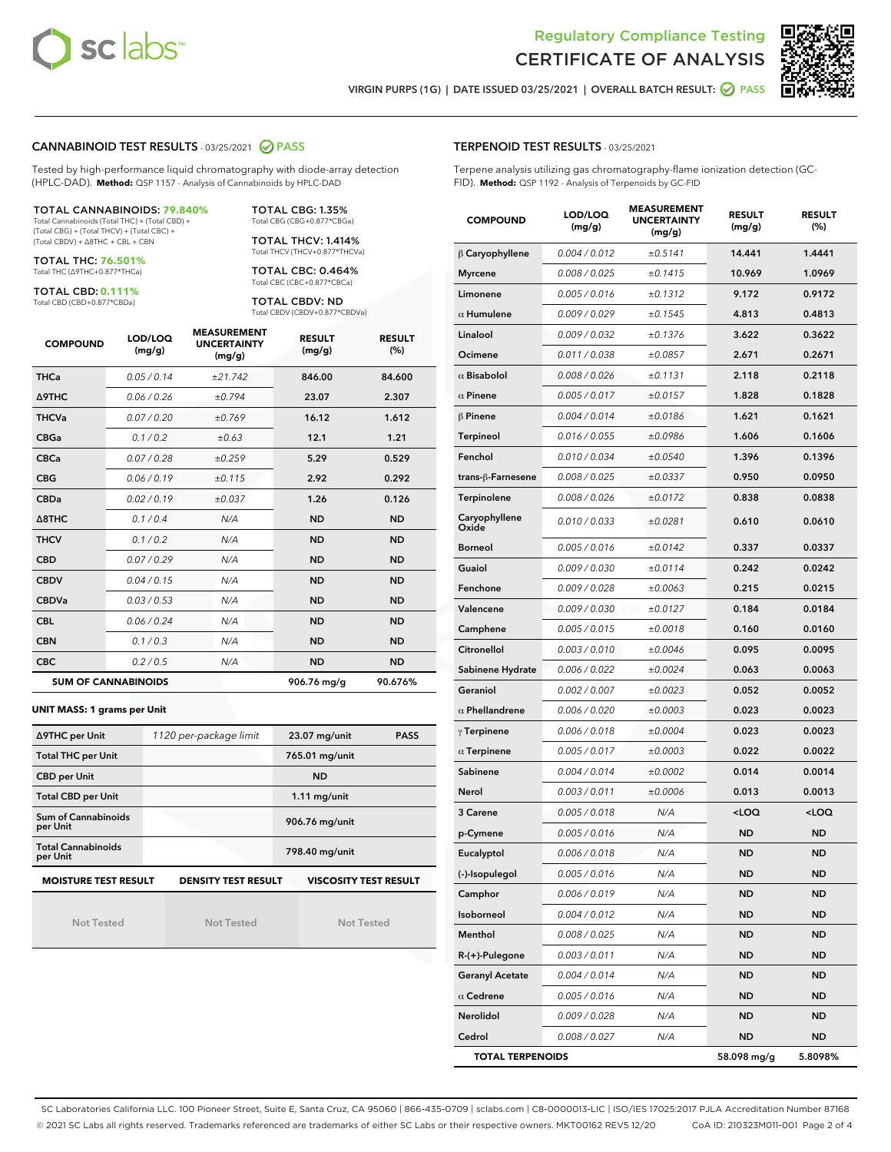



VIRGIN PURPS (1G) | DATE ISSUED 03/25/2021 | OVERALL BATCH RESULT: ◯ PASS

#### CANNABINOID TEST RESULTS - 03/25/2021 @ PASS

Tested by high-performance liquid chromatography with diode-array detection (HPLC-DAD). **Method:** QSP 1157 - Analysis of Cannabinoids by HPLC-DAD

#### TOTAL CANNABINOIDS: **79.840%**

Total Cannabinoids (Total THC) + (Total CBD) + (Total CBG) + (Total THCV) + (Total CBC) + (Total CBDV) + ∆8THC + CBL + CBN

TOTAL THC: **76.501%** Total THC (∆9THC+0.877\*THCa)

TOTAL CBD: **0.111%**

Total CBD (CBD+0.877\*CBDa)

TOTAL CBG: 1.35% Total CBG (CBG+0.877\*CBGa)

TOTAL THCV: 1.414% Total THCV (THCV+0.877\*THCVa)

TOTAL CBC: 0.464% Total CBC (CBC+0.877\*CBCa)

TOTAL CBDV: ND Total CBDV (CBDV+0.877\*CBDVa)

| <b>COMPOUND</b> | LOD/LOQ<br>(mg/g)          | <b>MEASUREMENT</b><br><b>UNCERTAINTY</b><br>(mg/g) | <b>RESULT</b><br>(mg/g) | <b>RESULT</b><br>(%) |
|-----------------|----------------------------|----------------------------------------------------|-------------------------|----------------------|
| <b>THCa</b>     | 0.05/0.14                  | ±21.742                                            | 846.00                  | 84.600               |
| <b>A9THC</b>    | 0.06 / 0.26                | ±0.794                                             | 23.07                   | 2.307                |
| <b>THCVa</b>    | 0.07 / 0.20                | ±0.769                                             | 16.12                   | 1.612                |
| <b>CBGa</b>     | 0.1/0.2                    | ±0.63                                              | 12.1                    | 1.21                 |
| <b>CBCa</b>     | 0.07/0.28                  | ±0.259                                             | 5.29                    | 0.529                |
| <b>CBG</b>      | 0.06/0.19                  | ±0.115                                             | 2.92                    | 0.292                |
| <b>CBDa</b>     | 0.02 / 0.19                | ±0.037                                             | 1.26                    | 0.126                |
| A8THC           | 0.1/0.4                    | N/A                                                | <b>ND</b>               | <b>ND</b>            |
| <b>THCV</b>     | 0.1 / 0.2                  | N/A                                                | <b>ND</b>               | <b>ND</b>            |
| <b>CBD</b>      | 0.07/0.29                  | N/A                                                | <b>ND</b>               | <b>ND</b>            |
| <b>CBDV</b>     | 0.04/0.15                  | N/A                                                | <b>ND</b>               | <b>ND</b>            |
| <b>CBDVa</b>    | 0.03/0.53                  | N/A                                                | <b>ND</b>               | <b>ND</b>            |
| <b>CBL</b>      | 0.06 / 0.24                | N/A                                                | <b>ND</b>               | <b>ND</b>            |
| <b>CBN</b>      | 0.1/0.3                    | N/A                                                | <b>ND</b>               | <b>ND</b>            |
| <b>CBC</b>      | 0.2 / 0.5                  | N/A                                                | <b>ND</b>               | <b>ND</b>            |
|                 | <b>SUM OF CANNABINOIDS</b> |                                                    | 906.76 mg/g             | 90.676%              |

#### **UNIT MASS: 1 grams per Unit**

| ∆9THC per Unit                                                                            | 1120 per-package limit | 23.07 mg/unit<br><b>PASS</b> |  |  |
|-------------------------------------------------------------------------------------------|------------------------|------------------------------|--|--|
| <b>Total THC per Unit</b>                                                                 |                        | 765.01 mg/unit               |  |  |
| <b>CBD per Unit</b>                                                                       |                        | <b>ND</b>                    |  |  |
| <b>Total CBD per Unit</b>                                                                 |                        | $1.11$ mg/unit               |  |  |
| <b>Sum of Cannabinoids</b><br>per Unit                                                    |                        | 906.76 mg/unit               |  |  |
| <b>Total Cannabinoids</b><br>per Unit                                                     |                        | 798.40 mg/unit               |  |  |
| <b>MOISTURE TEST RESULT</b><br><b>VISCOSITY TEST RESULT</b><br><b>DENSITY TEST RESULT</b> |                        |                              |  |  |

**MOISTURE TEST RESULT**

Not Tested

Not Tested

Not Tested

## TERPENOID TEST RESULTS - 03/25/2021

Terpene analysis utilizing gas chromatography-flame ionization detection (GC-FID). **Method:** QSP 1192 - Analysis of Terpenoids by GC-FID

| <b>COMPOUND</b>         | LOD/LOQ<br>(mg/g) | <b>MEASUREMENT</b><br><b>UNCERTAINTY</b><br>(mg/g) | <b>RESULT</b><br>(mg/g)                         | <b>RESULT</b><br>(%) |
|-------------------------|-------------------|----------------------------------------------------|-------------------------------------------------|----------------------|
| $\beta$ Caryophyllene   | 0.004 / 0.012     | ±0.5141                                            | 14.441                                          | 1.4441               |
| <b>Myrcene</b>          | 0.008 / 0.025     | ±0.1415                                            | 10.969                                          | 1.0969               |
| Limonene                | 0.005 / 0.016     | ±0.1312                                            | 9.172                                           | 0.9172               |
| $\alpha$ Humulene       | 0.009 / 0.029     | ±0.1545                                            | 4.813                                           | 0.4813               |
| Linalool                | 0.009 / 0.032     | ±0.1376                                            | 3.622                                           | 0.3622               |
| Ocimene                 | 0.011 / 0.038     | ±0.0857                                            | 2.671                                           | 0.2671               |
| $\alpha$ Bisabolol      | 0.008 / 0.026     | ±0.1131                                            | 2.118                                           | 0.2118               |
| $\alpha$ Pinene         | 0.005 / 0.017     | ±0.0157                                            | 1.828                                           | 0.1828               |
| $\beta$ Pinene          | 0.004 / 0.014     | ±0.0186                                            | 1.621                                           | 0.1621               |
| <b>Terpineol</b>        | 0.016 / 0.055     | ±0.0986                                            | 1.606                                           | 0.1606               |
| Fenchol                 | 0.010 / 0.034     | ±0.0540                                            | 1.396                                           | 0.1396               |
| trans-β-Farnesene       | 0.008 / 0.025     | ±0.0337                                            | 0.950                                           | 0.0950               |
| Terpinolene             | 0.008 / 0.026     | ±0.0172                                            | 0.838                                           | 0.0838               |
| Caryophyllene<br>Oxide  | 0.010 / 0.033     | ±0.0281                                            | 0.610                                           | 0.0610               |
| <b>Borneol</b>          | 0.005 / 0.016     | ±0.0142                                            | 0.337                                           | 0.0337               |
| Guaiol                  | 0.009 / 0.030     | ±0.0114                                            | 0.242                                           | 0.0242               |
| Fenchone                | 0.009 / 0.028     | ±0.0063                                            | 0.215                                           | 0.0215               |
| Valencene               | 0.009 / 0.030     | ±0.0127                                            | 0.184                                           | 0.0184               |
| Camphene                | 0.005 / 0.015     | ±0.0018                                            | 0.160                                           | 0.0160               |
| Citronellol             | 0.003 / 0.010     | ±0.0046                                            | 0.095                                           | 0.0095               |
| Sabinene Hydrate        | 0.006 / 0.022     | ±0.0024                                            | 0.063                                           | 0.0063               |
| Geraniol                | 0.002 / 0.007     | ±0.0023                                            | 0.052                                           | 0.0052               |
| $\alpha$ Phellandrene   | 0.006 / 0.020     | ±0.0003                                            | 0.023                                           | 0.0023               |
| $\gamma$ Terpinene      | 0.006 / 0.018     | ±0.0004                                            | 0.023                                           | 0.0023               |
| $\alpha$ Terpinene      | 0.005 / 0.017     | ±0.0003                                            | 0.022                                           | 0.0022               |
| Sabinene                | 0.004 / 0.014     | ±0.0002                                            | 0.014                                           | 0.0014               |
| Nerol                   | 0.003 / 0.011     | ±0.0006                                            | 0.013                                           | 0.0013               |
| 3 Carene                | 0.005 / 0.018     | N/A                                                | <loq< th=""><th><loq< th=""></loq<></th></loq<> | <loq< th=""></loq<>  |
| p-Cymene                | 0.005 / 0.016     | N/A                                                | <b>ND</b>                                       | <b>ND</b>            |
| Eucalyptol              | 0.006 / 0.018     | N/A                                                | <b>ND</b>                                       | ND                   |
| (-)-Isopulegol          | 0.005 / 0.016     | N/A                                                | ND                                              | <b>ND</b>            |
| Camphor                 | 0.006 / 0.019     | N/A                                                | <b>ND</b>                                       | ND                   |
| Isoborneol              | 0.004 / 0.012     | N/A                                                | ND                                              | <b>ND</b>            |
| Menthol                 | 0.008 / 0.025     | N/A                                                | ND                                              | <b>ND</b>            |
| R-(+)-Pulegone          | 0.003 / 0.011     | N/A                                                | ND                                              | ND                   |
| <b>Geranyl Acetate</b>  | 0.004 / 0.014     | N/A                                                | ND                                              | ND                   |
| $\alpha$ Cedrene        | 0.005 / 0.016     | N/A                                                | ND                                              | <b>ND</b>            |
| Nerolidol               | 0.009 / 0.028     | N/A                                                | ND                                              | ND                   |
| Cedrol                  | 0.008 / 0.027     | N/A                                                | ND                                              | <b>ND</b>            |
| <b>TOTAL TERPENOIDS</b> |                   |                                                    | 58.098 mg/g                                     | 5.8098%              |

SC Laboratories California LLC. 100 Pioneer Street, Suite E, Santa Cruz, CA 95060 | 866-435-0709 | sclabs.com | C8-0000013-LIC | ISO/IES 17025:2017 PJLA Accreditation Number 87168 © 2021 SC Labs all rights reserved. Trademarks referenced are trademarks of either SC Labs or their respective owners. MKT00162 REV5 12/20 CoA ID: 210323M011-001 Page 2 of 4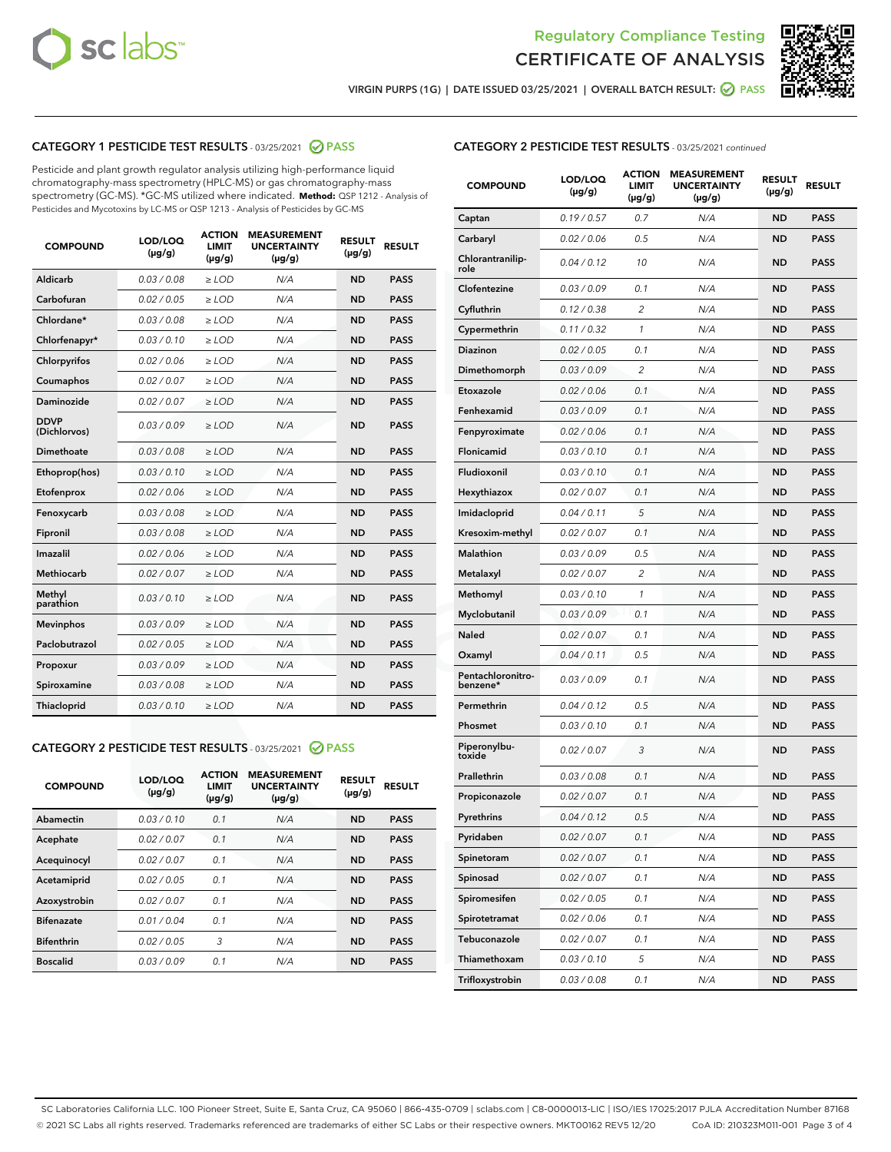



VIRGIN PURPS (1G) | DATE ISSUED 03/25/2021 | OVERALL BATCH RESULT: 0 PASS

## CATEGORY 1 PESTICIDE TEST RESULTS - 03/25/2021 2 PASS

Pesticide and plant growth regulator analysis utilizing high-performance liquid chromatography-mass spectrometry (HPLC-MS) or gas chromatography-mass spectrometry (GC-MS). \*GC-MS utilized where indicated. **Method:** QSP 1212 - Analysis of Pesticides and Mycotoxins by LC-MS or QSP 1213 - Analysis of Pesticides by GC-MS

| <b>COMPOUND</b>             | LOD/LOQ<br>$(\mu g/g)$ | <b>ACTION</b><br><b>LIMIT</b><br>$(\mu g/g)$ | <b>MEASUREMENT</b><br><b>UNCERTAINTY</b><br>$(\mu g/g)$ | <b>RESULT</b><br>$(\mu g/g)$ | <b>RESULT</b> |
|-----------------------------|------------------------|----------------------------------------------|---------------------------------------------------------|------------------------------|---------------|
| Aldicarb                    | 0.03 / 0.08            | $\ge$ LOD                                    | N/A                                                     | <b>ND</b>                    | <b>PASS</b>   |
| Carbofuran                  | 0.02/0.05              | $>$ LOD                                      | N/A                                                     | <b>ND</b>                    | <b>PASS</b>   |
| Chlordane*                  | 0.03 / 0.08            | $\geq$ LOD                                   | N/A                                                     | <b>ND</b>                    | <b>PASS</b>   |
| Chlorfenapyr*               | 0.03/0.10              | $\geq$ LOD                                   | N/A                                                     | <b>ND</b>                    | <b>PASS</b>   |
| Chlorpyrifos                | 0.02 / 0.06            | $\ge$ LOD                                    | N/A                                                     | <b>ND</b>                    | <b>PASS</b>   |
| Coumaphos                   | 0.02 / 0.07            | $\ge$ LOD                                    | N/A                                                     | <b>ND</b>                    | <b>PASS</b>   |
| <b>Daminozide</b>           | 0.02 / 0.07            | $\ge$ LOD                                    | N/A                                                     | <b>ND</b>                    | <b>PASS</b>   |
| <b>DDVP</b><br>(Dichlorvos) | 0.03/0.09              | $\ge$ LOD                                    | N/A                                                     | <b>ND</b>                    | <b>PASS</b>   |
| <b>Dimethoate</b>           | 0.03 / 0.08            | $\ge$ LOD                                    | N/A                                                     | <b>ND</b>                    | <b>PASS</b>   |
| Ethoprop(hos)               | 0.03/0.10              | $\ge$ LOD                                    | N/A                                                     | <b>ND</b>                    | <b>PASS</b>   |
| Etofenprox                  | 0.02 / 0.06            | $\ge$ LOD                                    | N/A                                                     | <b>ND</b>                    | <b>PASS</b>   |
| Fenoxycarb                  | 0.03 / 0.08            | $\ge$ LOD                                    | N/A                                                     | <b>ND</b>                    | <b>PASS</b>   |
| Fipronil                    | 0.03/0.08              | $\ge$ LOD                                    | N/A                                                     | <b>ND</b>                    | <b>PASS</b>   |
| Imazalil                    | 0.02 / 0.06            | $\ge$ LOD                                    | N/A                                                     | <b>ND</b>                    | <b>PASS</b>   |
| Methiocarb                  | 0.02 / 0.07            | $\ge$ LOD                                    | N/A                                                     | <b>ND</b>                    | <b>PASS</b>   |
| Methyl<br>parathion         | 0.03/0.10              | $\ge$ LOD                                    | N/A                                                     | <b>ND</b>                    | <b>PASS</b>   |
| <b>Mevinphos</b>            | 0.03/0.09              | $>$ LOD                                      | N/A                                                     | <b>ND</b>                    | <b>PASS</b>   |
| Paclobutrazol               | 0.02 / 0.05            | $\ge$ LOD                                    | N/A                                                     | <b>ND</b>                    | <b>PASS</b>   |
| Propoxur                    | 0.03/0.09              | $>$ LOD                                      | N/A                                                     | <b>ND</b>                    | <b>PASS</b>   |
| Spiroxamine                 | 0.03 / 0.08            | $\ge$ LOD                                    | N/A                                                     | <b>ND</b>                    | <b>PASS</b>   |
| Thiacloprid                 | 0.03/0.10              | $\ge$ LOD                                    | N/A                                                     | <b>ND</b>                    | <b>PASS</b>   |

## CATEGORY 2 PESTICIDE TEST RESULTS - 03/25/2021 @ PASS

| <b>COMPOUND</b>   | LOD/LOQ<br>$(\mu g/g)$ | <b>ACTION</b><br><b>LIMIT</b><br>$(\mu g/g)$ | <b>MEASUREMENT</b><br><b>UNCERTAINTY</b><br>$(\mu g/g)$ | <b>RESULT</b><br>$(\mu g/g)$ | <b>RESULT</b> |
|-------------------|------------------------|----------------------------------------------|---------------------------------------------------------|------------------------------|---------------|
| Abamectin         | 0.03/0.10              | 0.1                                          | N/A                                                     | <b>ND</b>                    | <b>PASS</b>   |
| Acephate          | 0.02/0.07              | 0.1                                          | N/A                                                     | <b>ND</b>                    | <b>PASS</b>   |
| Acequinocyl       | 0.02/0.07              | 0.1                                          | N/A                                                     | <b>ND</b>                    | <b>PASS</b>   |
| Acetamiprid       | 0.02/0.05              | 0.1                                          | N/A                                                     | <b>ND</b>                    | <b>PASS</b>   |
| Azoxystrobin      | 0.02/0.07              | 0.1                                          | N/A                                                     | <b>ND</b>                    | <b>PASS</b>   |
| <b>Bifenazate</b> | 0.01/0.04              | 0.1                                          | N/A                                                     | <b>ND</b>                    | <b>PASS</b>   |
| <b>Bifenthrin</b> | 0.02/0.05              | 3                                            | N/A                                                     | <b>ND</b>                    | <b>PASS</b>   |
| <b>Boscalid</b>   | 0.03/0.09              | 0.1                                          | N/A                                                     | <b>ND</b>                    | <b>PASS</b>   |

|  | <b>CATEGORY 2 PESTICIDE TEST RESULTS</b> - 03/25/2021 continued |  |
|--|-----------------------------------------------------------------|--|
|--|-----------------------------------------------------------------|--|

| <b>COMPOUND</b>                 | <b>LOD/LOQ</b><br>$(\mu g/g)$ | <b>ACTION</b><br><b>LIMIT</b><br>(µg/g) | <b>MEASUREMENT</b><br><b>UNCERTAINTY</b><br>(µg/g) | <b>RESULT</b><br>(µg/g) | <b>RESULT</b> |
|---------------------------------|-------------------------------|-----------------------------------------|----------------------------------------------------|-------------------------|---------------|
| Captan                          | 0.19/0.57                     | 0.7                                     | N/A                                                | ND                      | <b>PASS</b>   |
| Carbaryl                        | 0.02 / 0.06                   | 0.5                                     | N/A                                                | ND                      | <b>PASS</b>   |
| <b>Chlorantranilip-</b><br>role | 0.04 / 0.12                   | 10                                      | N/A                                                | ND                      | <b>PASS</b>   |
| Clofentezine                    | 0.03/0.09                     | 0.1                                     | N/A                                                | <b>ND</b>               | <b>PASS</b>   |
| Cyfluthrin                      | 0.12 / 0.38                   | $\overline{2}$                          | N/A                                                | ND                      | <b>PASS</b>   |
| Cypermethrin                    | 0.11 / 0.32                   | $\mathbf{1}$                            | N/A                                                | ND                      | <b>PASS</b>   |
| <b>Diazinon</b>                 | 0.02 / 0.05                   | 0.1                                     | N/A                                                | ND                      | <b>PASS</b>   |
| Dimethomorph                    | 0.03 / 0.09                   | 2                                       | N/A                                                | ND                      | <b>PASS</b>   |
| Etoxazole                       | 0.02 / 0.06                   | 0.1                                     | N/A                                                | ND                      | <b>PASS</b>   |
| Fenhexamid                      | 0.03 / 0.09                   | 0.1                                     | N/A                                                | ND                      | <b>PASS</b>   |
| Fenpyroximate                   | 0.02 / 0.06                   | 0.1                                     | N/A                                                | ND                      | <b>PASS</b>   |
| Flonicamid                      | 0.03 / 0.10                   | 0.1                                     | N/A                                                | ND                      | <b>PASS</b>   |
| Fludioxonil                     | 0.03/0.10                     | 0.1                                     | N/A                                                | ND                      | <b>PASS</b>   |
| Hexythiazox                     | 0.02 / 0.07                   | 0.1                                     | N/A                                                | ND                      | <b>PASS</b>   |
| Imidacloprid                    | 0.04 / 0.11                   | 5                                       | N/A                                                | ND                      | <b>PASS</b>   |
| Kresoxim-methyl                 | 0.02 / 0.07                   | 0.1                                     | N/A                                                | ND                      | <b>PASS</b>   |
| <b>Malathion</b>                | 0.03 / 0.09                   | 0.5                                     | N/A                                                | ND                      | <b>PASS</b>   |
| Metalaxyl                       | 0.02 / 0.07                   | 2                                       | N/A                                                | ND                      | <b>PASS</b>   |
| Methomyl                        | 0.03/0.10                     | 1                                       | N/A                                                | ND                      | <b>PASS</b>   |
| Myclobutanil                    | 0.03 / 0.09                   | 0.1                                     | N/A                                                | ND                      | <b>PASS</b>   |
| Naled                           | 0.02 / 0.07                   | 0.1                                     | N/A                                                | ND                      | <b>PASS</b>   |
| Oxamyl                          | 0.04 / 0.11                   | 0.5                                     | N/A                                                | ND                      | <b>PASS</b>   |
| Pentachloronitro-<br>benzene*   | 0.03 / 0.09                   | 0.1                                     | N/A                                                | ND                      | PASS          |
| Permethrin                      | 0.04 / 0.12                   | 0.5                                     | N/A                                                | ND                      | <b>PASS</b>   |
| Phosmet                         | 0.03 / 0.10                   | 0.1                                     | N/A                                                | ND                      | <b>PASS</b>   |
| Piperonylbu-<br>toxide          | 0.02 / 0.07                   | 3                                       | N/A                                                | ND                      | <b>PASS</b>   |
| Prallethrin                     | 0.03 / 0.08                   | 0.1                                     | N/A                                                | ND                      | <b>PASS</b>   |
| Propiconazole                   | 0.02 / 0.07                   | 0.1                                     | N/A                                                | ND                      | <b>PASS</b>   |
| Pyrethrins                      | 0.04 / 0.12                   | 0.5                                     | N/A                                                | ND                      | PASS          |
| Pyridaben                       | 0.02 / 0.07                   | 0.1                                     | N/A                                                | ND                      | PASS          |
| Spinetoram                      | 0.02 / 0.07                   | 0.1                                     | N/A                                                | ND                      | <b>PASS</b>   |
| Spinosad                        | 0.02 / 0.07                   | 0.1                                     | N/A                                                | ND                      | <b>PASS</b>   |
| Spiromesifen                    | 0.02 / 0.05                   | 0.1                                     | N/A                                                | <b>ND</b>               | <b>PASS</b>   |
| Spirotetramat                   | 0.02 / 0.06                   | 0.1                                     | N/A                                                | <b>ND</b>               | <b>PASS</b>   |
| Tebuconazole                    | 0.02 / 0.07                   | 0.1                                     | N/A                                                | ND                      | <b>PASS</b>   |
| Thiamethoxam                    | 0.03 / 0.10                   | 5                                       | N/A                                                | <b>ND</b>               | <b>PASS</b>   |
| Trifloxystrobin                 | 0.03 / 0.08                   | 0.1                                     | N/A                                                | <b>ND</b>               | <b>PASS</b>   |